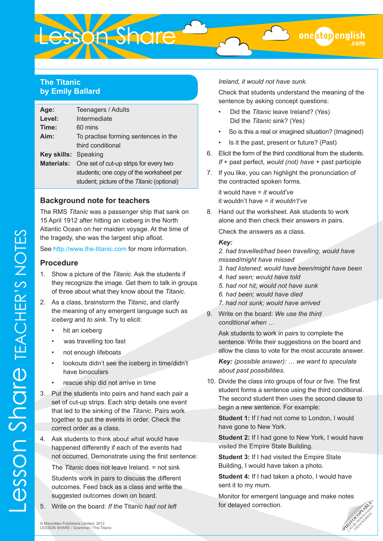# **The Titanic by Emily Ballard**

| Age:                 | Teenagers / Adults                         |
|----------------------|--------------------------------------------|
| Level:               | Intermediate                               |
| Time:                | 60 mins                                    |
| Aim:                 | To practise forming sentences in the       |
|                      | third conditional                          |
| Key skills: Speaking |                                            |
| <b>Materials:</b>    | One set of cut-up strips for every two     |
|                      | students; one copy of the worksheet per    |
|                      | student; picture of the Titanic (optional) |

Lesson Share

## **Background note for teachers**

The RMS *Titanic* was a passenger ship that sank on 15 April 1912 after hitting an iceberg in the North Atlantic Ocean on her maiden voyage. At the time of the tragedy, she was the largest ship afloat.

See <http://www.the-titanic.com>for more information.

## **Procedure**

- 1. Show a picture of the *Titanic*. Ask the students if they recognize the image. Get them to talk in groups of three about what they know about the *Titanic*.
- 2. As a class, brainstorm the *Titanic*, and clarify the meaning of any emergent language such as *iceberg* and *to sink*. Try to elicit:
	- hit an iceberg
	- was travelling too fast
	- not enough lifeboats
	- lookouts didn't see the iceberg in time/didn't have binoculars
	- rescue ship did not arrive in time
- 3. Put the students into pairs and hand each pair a set of cut-up strips. Each strip details one event that led to the sinking of the *Titanic*. Pairs work together to put the events in order. Check the correct order as a class.
- 4. Ask students to think about what would have happened differently if each of the events had not occurred. Demonstrate using the first sentence:

The *Titanic* does not leave Ireland. = not sink

Students work in pairs to discuss the different outcomes. Feed back as a class and write the suggested outcomes down on board.

5. Write on the board: *If the* Titanic *had not left* 

*Ireland, it would not have sunk.* 

Check that students understand the meaning of the sentence by asking concept questions:

- Did the *Titanic* leave Ireland? (Yes) Did the *Titanic* sink? (Yes)
- So is this a real or imagined situation? (Imagined)
- Is it the past, present or future? (Past)
- 6. Elicit the form of the third conditional from the students. *If* + past perfect, *would (not) have* + past participle
- 7. If you like, you can highlight the pronunciation of the contracted spoken forms.

it would have = *it would've* it wouldn't have = *it wouldn't've*

8. Hand out the worksheet. Ask students to work alone and then check their answers in pairs.

Check the answers as a class.

#### *Key:*

*2. had travelled/had been travelling; would have missed/might have missed*

*3. had listened; would have been/might have been* 

- *4. had seen; would have told*
- *5. had not hit; would not have sunk*
- *6. had been; would have died*
- *7. had not sunk; would have arrived*
- 9. Write on the board: *We use the third conditional when …*

Ask students to work in pairs to complete the sentence. Write their suggestions on the board and allow the class to vote for the most accurate answer.

*Key: (possible answer): … we want to speculate about past possibilities.* 

10. Divide the class into groups of four or five. The first student forms a sentence using the third conditional. The second student then uses the second clause to begin a new sentence. For example:

**Student 1:** If I had not come to London, I would have gone to New York.

**Student 2:** If I had gone to New York, I would have visited the Empire State Building.

**Student 3:** If I had visited the Empire State Building, I would have taken a photo.

**Student 4:** If I had taken a photo, I would have sent it to my mum.

Monitor for emergent language and make notes for delayed correction.

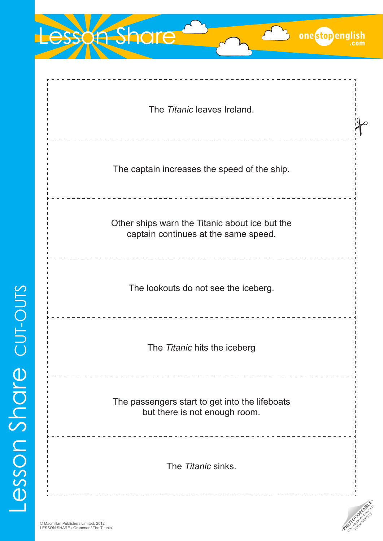| <b>SSOn Share</b><br>onestopenglish                                                    |
|----------------------------------------------------------------------------------------|
| The Titanic leaves Ireland.                                                            |
| The captain increases the speed of the ship.                                           |
| Other ships warn the Titanic about ice but the<br>captain continues at the same speed. |
| The lookouts do not see the iceberg.                                                   |
| The Titanic hits the iceberg                                                           |
| The passengers start to get into the lifeboats<br>but there is not enough room.        |
| The <i>Titanic</i> sinks.                                                              |

**PHOTOCOPIABLE**